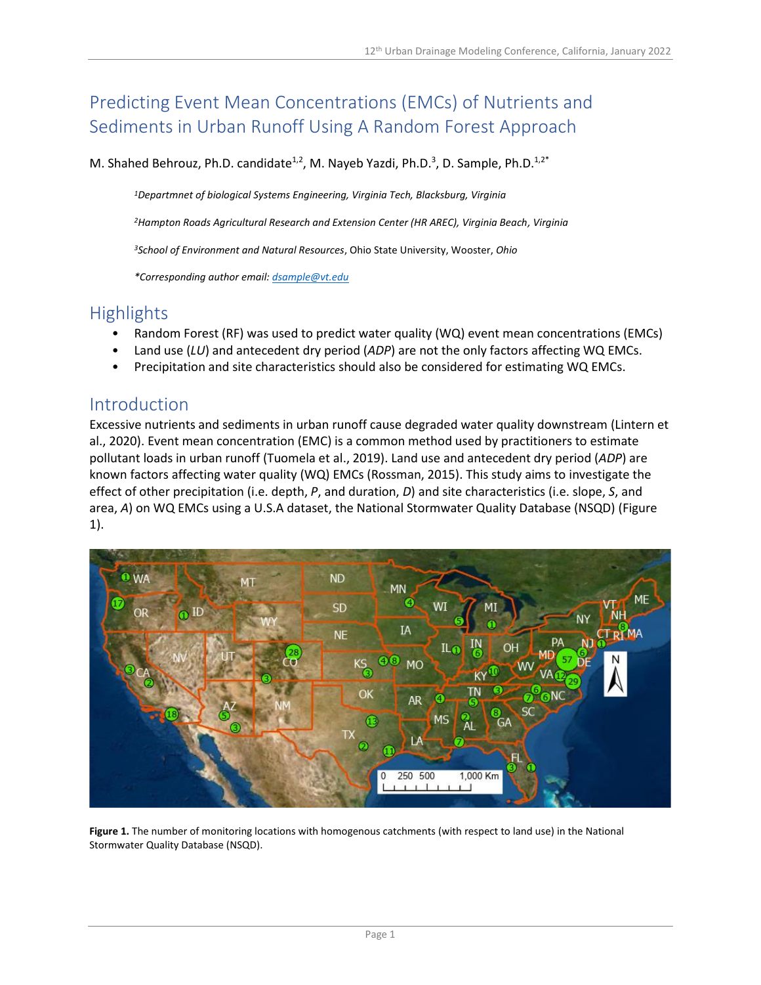# Predicting Event Mean Concentrations (EMCs) of Nutrients and Sediments in Urban Runoff Using A Random Forest Approach

M. Shahed Behrouz, Ph.D. candidate<sup>1,2</sup>, M. Nayeb Yazdi, Ph.D.<sup>3</sup>, D. Sample, Ph.D.<sup>1,2\*</sup>

*<sup>1</sup>Departmnet of biological Systems Engineering, Virginia Tech, Blacksburg, Virginia*

*<sup>2</sup>Hampton Roads Agricultural Research and Extension Center (HR AREC), Virginia Beach, Virginia*

*<sup>3</sup>School of Environment and Natural Resources*, Ohio State University, Wooster, *Ohio*

*\*Corresponding author email[: dsample@vt.edu](mailto:dsample@vt.edu)*

### Highlights

- Random Forest (RF) was used to predict water quality (WQ) event mean concentrations (EMCs)
- Land use (*LU*) and antecedent dry period (*ADP*) are not the only factors affecting WQ EMCs.
- Precipitation and site characteristics should also be considered for estimating WQ EMCs.

### Introduction

Excessive nutrients and sediments in urban runoff cause degraded water quality downstream (Lintern et al., 2020). Event mean concentration (EMC) is a common method used by practitioners to estimate pollutant loads in urban runoff (Tuomela et al., 2019). Land use and antecedent dry period (*ADP*) are known factors affecting water quality (WQ) EMCs (Rossman, 2015). This study aims to investigate the effect of other precipitation (i.e. depth, *P*, and duration, *D*) and site characteristics (i.e. slope, *S*, and area, *A*) on WQ EMCs using a U.S.A dataset, the National Stormwater Quality Database (NSQD) (Figure 1).



**Figure 1.** The number of monitoring locations with homogenous catchments (with respect to land use) in the National Stormwater Quality Database (NSQD).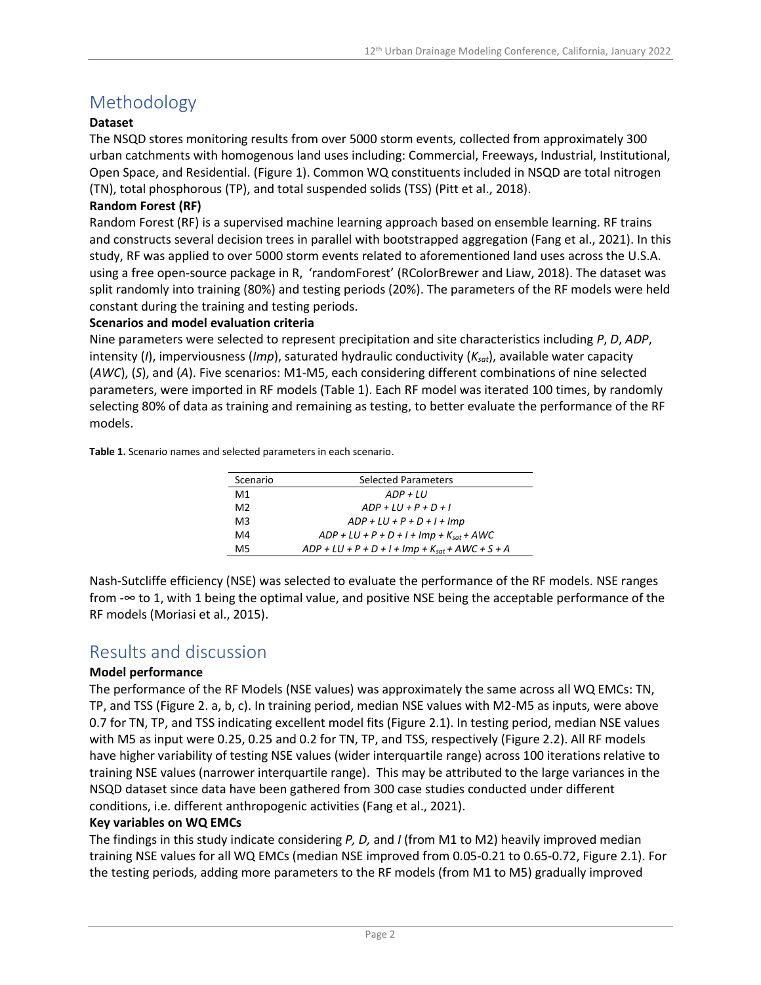# Methodology

#### **Dataset**

The NSQD stores monitoring results from over 5000 storm events, collected from approximately 300 urban catchments with homogenous land uses including: Commercial, Freeways, Industrial, Institutional, Open Space, and Residential. (Figure 1). Common WQ constituents included in NSQD are total nitrogen (TN), total phosphorous (TP), and total suspended solids (TSS) (Pitt et al., 2018).

#### **Random Forest (RF)**

Random Forest (RF) is a supervised machine learning approach based on ensemble learning. RF trains and constructs several decision trees in parallel with bootstrapped aggregation (Fang et al., 2021). In this study, RF was applied to over 5000 storm events related to aforementioned land uses across the U.S.A. using a free open-source package in R, 'randomForest' (RColorBrewer and Liaw, 2018). The dataset was split randomly into training (80%) and testing periods (20%). The parameters of the RF models were held constant during the training and testing periods.

#### **Scenarios and model evaluation criteria**

Nine parameters were selected to represent precipitation and site characteristics including *P*, *D*, *ADP*, intensity (*I*), imperviousness (*Imp*), saturated hydraulic conductivity (*Ksat*), available water capacity (*AWC*), (*S*), and (*A*). Five scenarios: M1-M5, each considering different combinations of nine selected parameters, were imported in RF models (Table 1). Each RF model was iterated 100 times, by randomly selecting 80% of data as training and remaining as testing, to better evaluate the performance of the RF models.

**Table 1.** Scenario names and selected parameters in each scenario.

| Scenario       | <b>Selected Parameters</b>                           |  |
|----------------|------------------------------------------------------|--|
| M1             | $ADP + III$                                          |  |
| M <sub>2</sub> | $ADP + III + P + D + I$                              |  |
| M3             | $ADP + LU + P + D + I + Imp$                         |  |
| M4             | $ADP + LU + P + D + I + Imp + K_{sat} + AWC$         |  |
| M5             | $ADP + LU + P + D + I + Imp + K_{sat} + AWC + S + A$ |  |

Nash-Sutcliffe efficiency (NSE) was selected to evaluate the performance of the RF models. NSE ranges from -∞ to 1, with 1 being the optimal value, and positive NSE being the acceptable performance of the RF models (Moriasi et al., 2015).

### Results and discussion

#### **Model performance**

The performance of the RF Models (NSE values) was approximately the same across all WQ EMCs: TN, TP, and TSS (Figure 2. a, b, c). In training period, median NSE values with M2-M5 as inputs, were above 0.7 for TN, TP, and TSS indicating excellent model fits (Figure 2.1). In testing period, median NSE values with M5 as input were 0.25, 0.25 and 0.2 for TN, TP, and TSS, respectively (Figure 2.2). All RF models have higher variability of testing NSE values (wider interquartile range) across 100 iterations relative to training NSE values (narrower interquartile range). This may be attributed to the large variances in the NSQD dataset since data have been gathered from 300 case studies conducted under different conditions, i.e. different anthropogenic activities (Fang et al., 2021).

#### **Key variables on WQ EMCs**

The findings in this study indicate considering *P, D,* and *I* (from M1 to M2) heavily improved median training NSE values for all WQ EMCs (median NSE improved from 0.05-0.21 to 0.65-0.72, Figure 2.1). For the testing periods, adding more parameters to the RF models (from M1 to M5) gradually improved